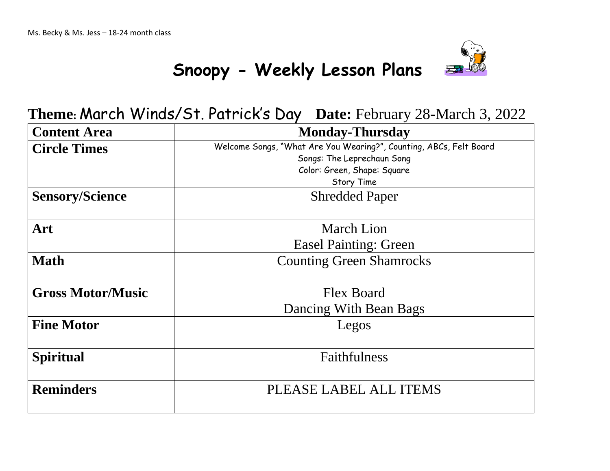

**Theme:** March Winds/St. Patrick's Day **Date:** February 28-March 3, 2022

| <b>Content Area</b>      | <b>Monday-Thursday</b>                                             |
|--------------------------|--------------------------------------------------------------------|
| <b>Circle Times</b>      | Welcome Songs, "What Are You Wearing?", Counting, ABCs, Felt Board |
|                          | Songs: The Leprechaun Song                                         |
|                          | Color: Green, Shape: Square                                        |
|                          | Story Time                                                         |
| <b>Sensory/Science</b>   | <b>Shredded Paper</b>                                              |
|                          |                                                                    |
| Art                      | <b>March Lion</b>                                                  |
|                          | <b>Easel Painting: Green</b>                                       |
| <b>Math</b>              | <b>Counting Green Shamrocks</b>                                    |
|                          |                                                                    |
| <b>Gross Motor/Music</b> | <b>Flex Board</b>                                                  |
|                          | Dancing With Bean Bags                                             |
| <b>Fine Motor</b>        | Legos                                                              |
|                          |                                                                    |
| <b>Spiritual</b>         | Faithfulness                                                       |
|                          |                                                                    |
| <b>Reminders</b>         | PLEASE LABEL ALL ITEMS                                             |
|                          |                                                                    |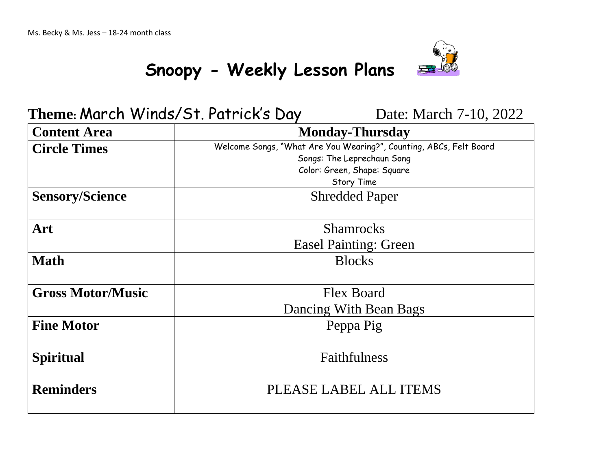

#### Theme: March Winds/St. Patrick's Day Date: March 7-10, 2022

| <b>Content Area</b>      | <b>Monday-Thursday</b>                                             |
|--------------------------|--------------------------------------------------------------------|
| <b>Circle Times</b>      | Welcome Songs, "What Are You Wearing?", Counting, ABCs, Felt Board |
|                          | Songs: The Leprechaun Song                                         |
|                          | Color: Green, Shape: Square                                        |
|                          | Story Time                                                         |
| <b>Sensory/Science</b>   | <b>Shredded Paper</b>                                              |
|                          |                                                                    |
| Art                      | <b>Shamrocks</b>                                                   |
|                          | <b>Easel Painting: Green</b>                                       |
| <b>Math</b>              | <b>Blocks</b>                                                      |
|                          |                                                                    |
| <b>Gross Motor/Music</b> | <b>Flex Board</b>                                                  |
|                          | Dancing With Bean Bags                                             |
| <b>Fine Motor</b>        | Peppa Pig                                                          |
|                          |                                                                    |
| <b>Spiritual</b>         | Faithfulness                                                       |
|                          |                                                                    |
| <b>Reminders</b>         | PLEASE LABEL ALL ITEMS                                             |
|                          |                                                                    |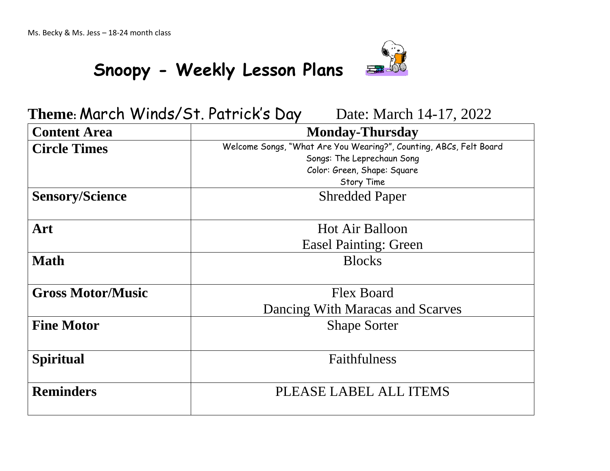

### **Theme: March Winds/St. Patrick's Day** Date: March 14-17, 2022

| <b>Content Area</b>      | <b>Monday-Thursday</b>                                                                           |
|--------------------------|--------------------------------------------------------------------------------------------------|
| <b>Circle Times</b>      | Welcome Songs, "What Are You Wearing?", Counting, ABCs, Felt Board<br>Songs: The Leprechaun Song |
|                          | Color: Green, Shape: Square<br><b>Story Time</b>                                                 |
| <b>Sensory/Science</b>   | <b>Shredded Paper</b>                                                                            |
| Art                      | <b>Hot Air Balloon</b>                                                                           |
|                          | <b>Easel Painting: Green</b>                                                                     |
| <b>Math</b>              | <b>Blocks</b>                                                                                    |
| <b>Gross Motor/Music</b> | <b>Flex Board</b>                                                                                |
|                          | Dancing With Maracas and Scarves                                                                 |
| <b>Fine Motor</b>        | <b>Shape Sorter</b>                                                                              |
| <b>Spiritual</b>         | Faithfulness                                                                                     |
| <b>Reminders</b>         | PLEASE LABEL ALL ITEMS                                                                           |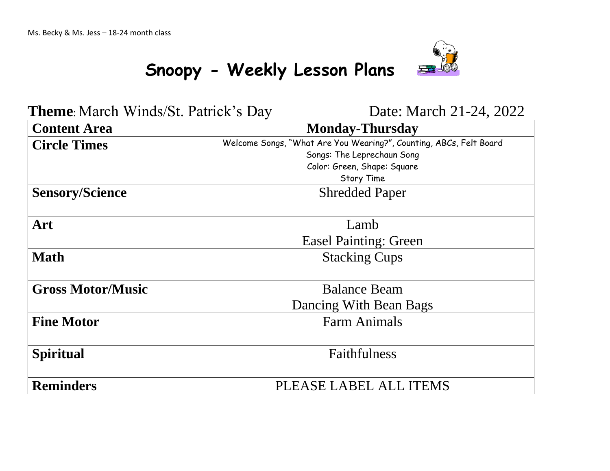

**Theme**: March Winds/St. Patrick's Day Date: March 21-24, 2022

| <b>Content Area</b>      | <b>Monday-Thursday</b>                                                                                                          |
|--------------------------|---------------------------------------------------------------------------------------------------------------------------------|
| <b>Circle Times</b>      | Welcome Songs, "What Are You Wearing?", Counting, ABCs, Felt Board<br>Songs: The Leprechaun Song<br>Color: Green, Shape: Square |
|                          | Story Time                                                                                                                      |
| <b>Sensory/Science</b>   | <b>Shredded Paper</b>                                                                                                           |
| Art                      | Lamb                                                                                                                            |
|                          | <b>Easel Painting: Green</b>                                                                                                    |
| <b>Math</b>              | <b>Stacking Cups</b>                                                                                                            |
| <b>Gross Motor/Music</b> | <b>Balance Beam</b>                                                                                                             |
|                          | Dancing With Bean Bags                                                                                                          |
| <b>Fine Motor</b>        | <b>Farm Animals</b>                                                                                                             |
| <b>Spiritual</b>         | Faithfulness                                                                                                                    |
| <b>Reminders</b>         | PLEASE LABEL ALL ITEMS                                                                                                          |